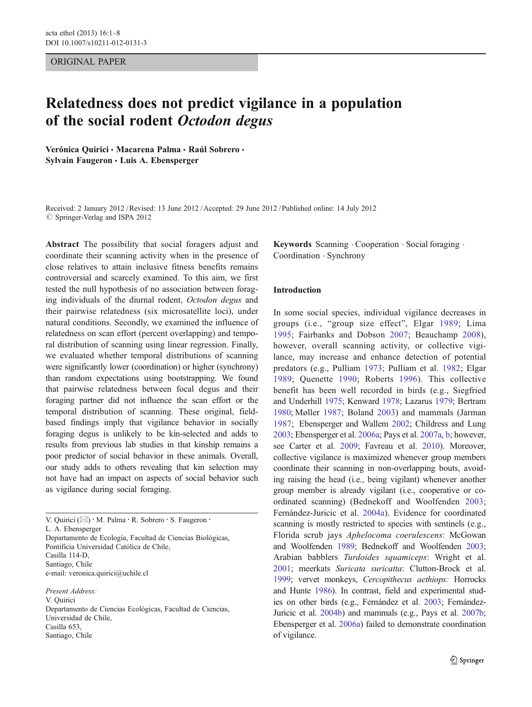## ORIGINAL PAPER

# Relatedness does not predict vigilance in a population of the social rodent Octodon degus

Verónica Quirici · Macarena Palma · Raúl Sobrero · Sylvain Faugeron · Luis A. Ebensperger

Received: 2 January 2012 /Revised: 13 June 2012 /Accepted: 29 June 2012 / Published online: 14 July 2012  $\oslash$  Springer-Verlag and ISPA 2012

Abstract The possibility that social foragers adjust and coordinate their scanning activity when in the presence of close relatives to attain inclusive fitness benefits remains controversial and scarcely examined. To this aim, we first tested the null hypothesis of no association between foraging individuals of the diurnal rodent, Octodon degus and their pairwise relatedness (six microsatellite loci), under natural conditions. Secondly, we examined the influence of relatedness on scan effort (percent overlapping) and temporal distribution of scanning using linear regression. Finally, we evaluated whether temporal distributions of scanning were significantly lower (coordination) or higher (synchrony) than random expectations using bootstrapping. We found that pairwise relatedness between focal degus and their foraging partner did not influence the scan effort or the temporal distribution of scanning. These original, fieldbased findings imply that vigilance behavior in socially foraging degus is unlikely to be kin-selected and adds to results from previous lab studies in that kinship remains a poor predictor of social behavior in these animals. Overall, our study adds to others revealing that kin selection may not have had an impact on aspects of social behavior such as vigilance during social foraging.

V. Quirici ( $\boxtimes$ ) · M. Palma · R. Sobrero · S. Faugeron · L. A. Ebensperger Departamento de Ecología, Facultad de Ciencias Biológicas, Pontificia Universidad Católica de Chile, Casilla 114-D, Santiago, Chile e-mail: veronica.quirici@uchile.cl

Present Address: V. Quirici Departamento de Ciencias Ecológicas, Facultad de Ciencias, Universidad de Chile, Casilla 653, Santiago, Chile

Keywords Scanning Cooperation Social foraging . Coordination . Synchrony

### Introduction

In some social species, individual vigilance decreases in groups (i.e., "group size effect", Elgar 1989; Lima 1995; Fairbanks and Dobson 2007; Beauchamp 2008), however, overall scanning activity, or collective vigilance, may increase and enhance detection of potential predators (e.g., Pulliam 1973; Pulliam et al. 1982; Elgar 1989; Quenette 1990; Roberts 1996). This collective benefit has been well recorded in birds (e.g., Siegfried and Underhill 1975; Kenward 1978; Lazarus 1979; Bertram 1980; Møller 1987; Boland 2003) and mammals (Jarman 1987; Ebensperger and Wallem 2002; Childress and Lung 2003; Ebensperger et al. 2006a; Pays et al. 2007a, b; however, see Carter et al. 2009; Favreau et al. 2010). Moreover, collective vigilance is maximized whenever group members coordinate their scanning in non-overlapping bouts, avoiding raising the head (i.e., being vigilant) whenever another group member is already vigilant (i.e., cooperative or coordinated scanning) (Bednekoff and Woolfenden 2003; Fernández-Juricic et al. 2004a). Evidence for coordinated scanning is mostly restricted to species with sentinels (e.g., Florida scrub jays Aphelocoma coerulescens: McGowan and Woolfenden 1989; Bednekoff and Woolfenden 2003; Arabian babblers Turdoides squamiceps: Wright et al. 2001; meerkats Suricata suricatta: Clutton-Brock et al. 1999; vervet monkeys, Cercopithecus aethiops: Horrocks and Hunte 1986). In contrast, field and experimental studies on other birds (e.g., Fernández et al. 2003; Fernández-Juricic et al. 2004b) and mammals (e.g., Pays et al. 2007b; Ebensperger et al. 2006a) failed to demonstrate coordination of vigilance.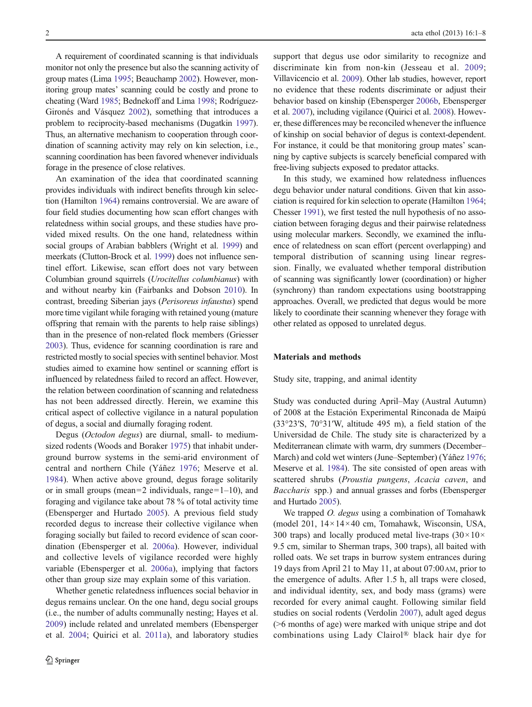A requirement of coordinated scanning is that individuals monitor not only the presence but also the scanning activity of group mates (Lima 1995; Beauchamp 2002). However, monitoring group mates' scanning could be costly and prone to cheating (Ward 1985; Bednekoff and Lima 1998; Rodríguez-Gironés and Vásquez 2002), something that introduces a problem to reciprocity-based mechanisms (Dugatkin 1997). Thus, an alternative mechanism to cooperation through coordination of scanning activity may rely on kin selection, i.e., scanning coordination has been favored whenever individuals forage in the presence of close relatives.

An examination of the idea that coordinated scanning provides individuals with indirect benefits through kin selection (Hamilton 1964) remains controversial. We are aware of four field studies documenting how scan effort changes with relatedness within social groups, and these studies have provided mixed results. On the one hand, relatedness within social groups of Arabian babblers (Wright et al. 1999) and meerkats (Clutton-Brock et al. 1999) does not influence sentinel effort. Likewise, scan effort does not vary between Columbian ground squirrels (Urocitellus columbianus) with and without nearby kin (Fairbanks and Dobson 2010). In contrast, breeding Siberian jays (Perisoreus infaustus) spend more time vigilant while foraging with retained young (mature offspring that remain with the parents to help raise siblings) than in the presence of non-related flock members (Griesser 2003). Thus, evidence for scanning coordination is rare and restricted mostly to social species with sentinel behavior. Most studies aimed to examine how sentinel or scanning effort is influenced by relatedness failed to record an affect. However, the relation between coordination of scanning and relatedness has not been addressed directly. Herein, we examine this critical aspect of collective vigilance in a natural population of degus, a social and diurnally foraging rodent.

Degus (Octodon degus) are diurnal, small- to mediumsized rodents (Woods and Boraker 1975) that inhabit underground burrow systems in the semi-arid environment of central and northern Chile (Yáñez 1976; Meserve et al. 1984). When active above ground, degus forage solitarily or in small groups (mean=2 individuals, range= $1-10$ ), and foraging and vigilance take about 78 % of total activity time (Ebensperger and Hurtado 2005). A previous field study recorded degus to increase their collective vigilance when foraging socially but failed to record evidence of scan coordination (Ebensperger et al. 2006a). However, individual and collective levels of vigilance recorded were highly variable (Ebensperger et al. 2006a), implying that factors other than group size may explain some of this variation.

Whether genetic relatedness influences social behavior in degus remains unclear. On the one hand, degu social groups (i.e., the number of adults communally nesting; Hayes et al. 2009) include related and unrelated members (Ebensperger et al. 2004; Quirici et al. 2011a), and laboratory studies support that degus use odor similarity to recognize and discriminate kin from non-kin (Jesseau et al. 2009; Villavicencio et al. 2009). Other lab studies, however, report no evidence that these rodents discriminate or adjust their behavior based on kinship (Ebensperger 2006b, Ebensperger et al. 2007), including vigilance (Quirici et al. 2008). However, these differences may be reconciled whenever the influence of kinship on social behavior of degus is context-dependent. For instance, it could be that monitoring group mates' scanning by captive subjects is scarcely beneficial compared with free-living subjects exposed to predator attacks.

In this study, we examined how relatedness influences degu behavior under natural conditions. Given that kin association is required for kin selection to operate (Hamilton 1964; Chesser 1991), we first tested the null hypothesis of no association between foraging degus and their pairwise relatedness using molecular markers. Secondly, we examined the influence of relatedness on scan effort (percent overlapping) and temporal distribution of scanning using linear regression. Finally, we evaluated whether temporal distribution of scanning was significantly lower (coordination) or higher (synchrony) than random expectations using bootstrapping approaches. Overall, we predicted that degus would be more likely to coordinate their scanning whenever they forage with other related as opposed to unrelated degus.

# Materials and methods

Study site, trapping, and animal identity

Study was conducted during April–May (Austral Autumn) of 2008 at the Estación Experimental Rinconada de Maipú (33°23′S, 70°31′W, altitude 495 m), a field station of the Universidad de Chile. The study site is characterized by a Mediterranean climate with warm, dry summers (December– March) and cold wet winters (June–September) (Yáñez 1976; Meserve et al. 1984). The site consisted of open areas with scattered shrubs (Proustia pungens, Acacia caven, and Baccharis spp.) and annual grasses and forbs (Ebensperger and Hurtado 2005).

We trapped *O. degus* using a combination of Tomahawk (model 201, 14×14×40 cm, Tomahawk, Wisconsin, USA, 300 traps) and locally produced metal live-traps  $(30 \times 10 \times$ 9.5 cm, similar to Sherman traps, 300 traps), all baited with rolled oats. We set traps in burrow system entrances during 19 days from April 21 to May 11, at about 07:00AM, prior to the emergence of adults. After 1.5 h, all traps were closed, and individual identity, sex, and body mass (grams) were recorded for every animal caught. Following similar field studies on social rodents (Verdolin 2007), adult aged degus (>6 months of age) were marked with unique stripe and dot combinations using Lady Clairol® black hair dye for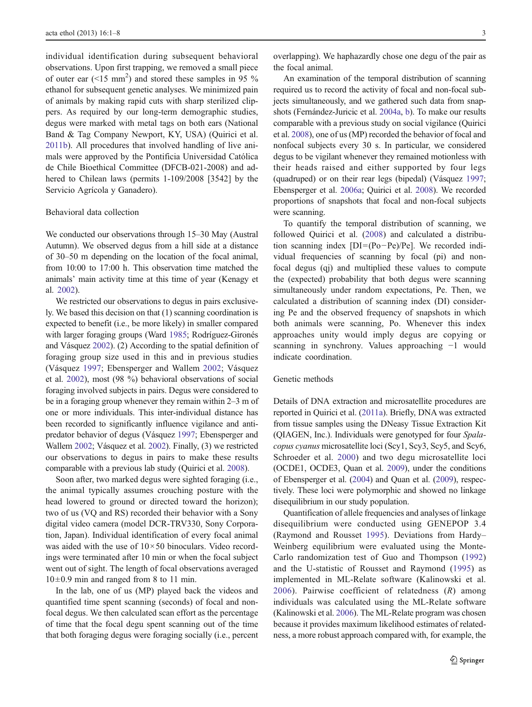individual identification during subsequent behavioral observations. Upon first trapping, we removed a small piece of outer ear ( $\leq 15$  mm<sup>2</sup>) and stored these samples in 95 % ethanol for subsequent genetic analyses. We minimized pain of animals by making rapid cuts with sharp sterilized clippers. As required by our long-term demographic studies, degus were marked with metal tags on both ears (National Band & Tag Company Newport, KY, USA) (Quirici et al. 2011b). All procedures that involved handling of live animals were approved by the Pontificia Universidad Católica de Chile Bioethical Committee (DFCB-021-2008) and adhered to Chilean laws (permits 1-109/2008 [3542] by the Servicio Agrícola y Ganadero).

# Behavioral data collection

We conducted our observations through 15–30 May (Austral Autumn). We observed degus from a hill side at a distance of 30–50 m depending on the location of the focal animal, from 10:00 to 17:00 h. This observation time matched the animals' main activity time at this time of year (Kenagy et al. 2002).

We restricted our observations to degus in pairs exclusively. We based this decision on that (1) scanning coordination is expected to benefit (i.e., be more likely) in smaller compared with larger foraging groups (Ward 1985; Rodríguez-Gironés and Vásquez 2002). (2) According to the spatial definition of foraging group size used in this and in previous studies (Vásquez 1997; Ebensperger and Wallem 2002; Vásquez et al. 2002), most (98 %) behavioral observations of social foraging involved subjects in pairs. Degus were considered to be in a foraging group whenever they remain within 2–3 m of one or more individuals. This inter-individual distance has been recorded to significantly influence vigilance and antipredator behavior of degus (Vásquez 1997; Ebensperger and Wallem 2002; Vásquez et al. 2002). Finally, (3) we restricted our observations to degus in pairs to make these results comparable with a previous lab study (Quirici et al. 2008).

Soon after, two marked degus were sighted foraging (i.e., the animal typically assumes crouching posture with the head lowered to ground or directed toward the horizon); two of us (VQ and RS) recorded their behavior with a Sony digital video camera (model DCR-TRV330, Sony Corporation, Japan). Individual identification of every focal animal was aided with the use of  $10 \times 50$  binoculars. Video recordings were terminated after 10 min or when the focal subject went out of sight. The length of focal observations averaged  $10\pm0.9$  min and ranged from 8 to 11 min.

In the lab, one of us (MP) played back the videos and quantified time spent scanning (seconds) of focal and nonfocal degus. We then calculated scan effort as the percentage of time that the focal degu spent scanning out of the time that both foraging degus were foraging socially (i.e., percent overlapping). We haphazardly chose one degu of the pair as the focal animal.

An examination of the temporal distribution of scanning required us to record the activity of focal and non-focal subjects simultaneously, and we gathered such data from snapshots (Fernández-Juricic et al. 2004a, b). To make our results comparable with a previous study on social vigilance (Quirici et al. 2008), one of us (MP) recorded the behavior of focal and nonfocal subjects every 30 s. In particular, we considered degus to be vigilant whenever they remained motionless with their heads raised and either supported by four legs (quadruped) or on their rear legs (bipedal) (Vásquez 1997; Ebensperger et al. 2006a; Quirici et al. 2008). We recorded proportions of snapshots that focal and non-focal subjects were scanning.

To quantify the temporal distribution of scanning, we followed Quirici et al. (2008) and calculated a distribution scanning index  $[DI=(Po-Pe)/Pe]$ . We recorded individual frequencies of scanning by focal (pi) and nonfocal degus (qj) and multiplied these values to compute the (expected) probability that both degus were scanning simultaneously under random expectations, Pe. Then, we calculated a distribution of scanning index (DI) considering Pe and the observed frequency of snapshots in which both animals were scanning, Po. Whenever this index approaches unity would imply degus are copying or scanning in synchrony. Values approaching −1 would indicate coordination.

# Genetic methods

Details of DNA extraction and microsatellite procedures are reported in Quirici et al. (2011a). Briefly, DNA was extracted from tissue samples using the DNeasy Tissue Extraction Kit (QIAGEN, Inc.). Individuals were genotyped for four Spalacopus cyanus microsatellite loci (Scy1, Scy3, Scy5, and Scy6, Schroeder et al. 2000) and two degu microsatellite loci (OCDE1, OCDE3, Quan et al. 2009), under the conditions of Ebensperger et al. (2004) and Quan et al. (2009), respectively. These loci were polymorphic and showed no linkage disequilibrium in our study population.

Quantification of allele frequencies and analyses of linkage disequilibrium were conducted using GENEPOP 3.4 (Raymond and Rousset 1995). Deviations from Hardy– Weinberg equilibrium were evaluated using the Monte-Carlo randomization test of Guo and Thompson (1992) and the U-statistic of Rousset and Raymond (1995) as implemented in ML-Relate software (Kalinowski et al. 2006). Pairwise coefficient of relatedness  $(R)$  among individuals was calculated using the ML-Relate software (Kalinowski et al. 2006). The ML-Relate program was chosen because it provides maximum likelihood estimates of relatedness, a more robust approach compared with, for example, the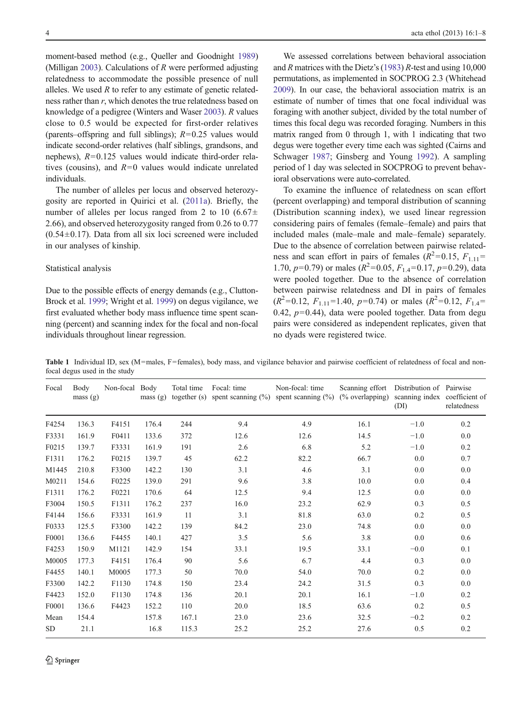moment-based method (e.g., Queller and Goodnight 1989) (Milligan 2003). Calculations of  $R$  were performed adjusting relatedness to accommodate the possible presence of null alleles. We used  $R$  to refer to any estimate of genetic relatedness rather than r, which denotes the true relatedness based on knowledge of a pedigree (Winters and Waser 2003). R values close to 0.5 would be expected for first-order relatives (parents–offspring and full siblings);  $R=0.25$  values would indicate second-order relatives (half siblings, grandsons, and nephews),  $R=0.125$  values would indicate third-order relatives (cousins), and  $R=0$  values would indicate unrelated individuals.

The number of alleles per locus and observed heterozygosity are reported in Quirici et al. (2011a). Briefly, the number of alleles per locus ranged from 2 to 10 (6.67 $\pm$ 2.66), and observed heterozygosity ranged from 0.26 to 0.77  $(0.54\pm0.17)$ . Data from all six loci screened were included in our analyses of kinship.

#### Statistical analysis

Due to the possible effects of energy demands (e.g., Clutton-Brock et al. 1999; Wright et al. 1999) on degus vigilance, we first evaluated whether body mass influence time spent scanning (percent) and scanning index for the focal and non-focal individuals throughout linear regression.

We assessed correlations between behavioral association and R matrices with the Dietz's (1983) R-test and using  $10,000$ permutations, as implemented in SOCPROG 2.3 (Whitehead 2009). In our case, the behavioral association matrix is an estimate of number of times that one focal individual was foraging with another subject, divided by the total number of times this focal degu was recorded foraging. Numbers in this matrix ranged from 0 through 1, with 1 indicating that two degus were together every time each was sighted (Cairns and Schwager 1987; Ginsberg and Young 1992). A sampling period of 1 day was selected in SOCPROG to prevent behavioral observations were auto-correlated.

To examine the influence of relatedness on scan effort (percent overlapping) and temporal distribution of scanning (Distribution scanning index), we used linear regression considering pairs of females (female–female) and pairs that included males (male–male and male–female) separately. Due to the absence of correlation between pairwise relatedness and scan effort in pairs of females ( $R^2$ =0.15,  $F_{1,11}$ = 1.70,  $p=0.79$ ) or males ( $R^2=0.05$ ,  $F_{1.4}=0.17$ ,  $p=0.29$ ), data were pooled together. Due to the absence of correlation between pairwise relatedness and DI in pairs of females  $(R^2=0.12, F_{1,11}=1.40, p=0.74)$  or males  $(R^2=0.12, F_{1,4}=$ 0.42,  $p=0.44$ ), data were pooled together. Data from degu pairs were considered as independent replicates, given that no dyads were registered twice.

**Table 1** Individual ID, sex (M=males, F=females), body mass, and vigilance behavior and pairwise coefficient of relatedness of focal and nonfocal degus used in the study

| Focal     | Body<br>mass(g) | Non-focal Body | mass(g) | Total time | Focal: time | Non-focal: time<br>together (s) spent scanning $(\%)$ spent scanning $(\%)$ | Scanning effort<br>$(\%$ overlapping) | Distribution of Pairwise<br>scanning index coefficient of<br>(DI) | relatedness |
|-----------|-----------------|----------------|---------|------------|-------------|-----------------------------------------------------------------------------|---------------------------------------|-------------------------------------------------------------------|-------------|
| F4254     | 136.3           | F4151          | 176.4   | 244        | 9.4         | 4.9                                                                         | 16.1                                  | $-1.0$                                                            | 0.2         |
| F3331     | 161.9           | F0411          | 133.6   | 372        | 12.6        | 12.6                                                                        | 14.5                                  | $-1.0$                                                            | 0.0         |
| F0215     | 139.7           | F3331          | 161.9   | 191        | 2.6         | 6.8                                                                         | 5.2                                   | $-1.0$                                                            | 0.2         |
| F1311     | 176.2           | F0215          | 139.7   | 45         | 62.2        | 82.2                                                                        | 66.7                                  | 0.0                                                               | 0.7         |
| M1445     | 210.8           | F3300          | 142.2   | 130        | 3.1         | 4.6                                                                         | 3.1                                   | 0.0                                                               | 0.0         |
| M0211     | 154.6           | F0225          | 139.0   | 291        | 9.6         | 3.8                                                                         | 10.0                                  | 0.0                                                               | 0.4         |
| F1311     | 176.2           | F0221          | 170.6   | 64         | 12.5        | 9.4                                                                         | 12.5                                  | 0.0                                                               | 0.0         |
| F3004     | 150.5           | F1311          | 176.2   | 237        | 16.0        | 23.2                                                                        | 62.9                                  | 0.3                                                               | 0.5         |
| F4144     | 156.6           | F3331          | 161.9   | 11         | 3.1         | 81.8                                                                        | 63.0                                  | 0.2                                                               | 0.5         |
| F0333     | 125.5           | F3300          | 142.2   | 139        | 84.2        | 23.0                                                                        | 74.8                                  | 0.0                                                               | 0.0         |
| F0001     | 136.6           | F4455          | 140.1   | 427        | 3.5         | 5.6                                                                         | 3.8                                   | 0.0                                                               | 0.6         |
| F4253     | 150.9           | M1121          | 142.9   | 154        | 33.1        | 19.5                                                                        | 33.1                                  | $-0.0$                                                            | 0.1         |
| M0005     | 177.3           | F4151          | 176.4   | 90         | 5.6         | 6.7                                                                         | 4.4                                   | 0.3                                                               | 0.0         |
| F4455     | 140.1           | M0005          | 177.3   | 50         | 70.0        | 54.0                                                                        | 70.0                                  | 0.2                                                               | 0.0         |
| F3300     | 142.2           | F1130          | 174.8   | 150        | 23.4        | 24.2                                                                        | 31.5                                  | 0.3                                                               | 0.0         |
| F4423     | 152.0           | F1130          | 174.8   | 136        | 20.1        | 20.1                                                                        | 16.1                                  | $-1.0$                                                            | 0.2         |
| F0001     | 136.6           | F4423          | 152.2   | 110        | 20.0        | 18.5                                                                        | 63.6                                  | 0.2                                                               | 0.5         |
| Mean      | 154.4           |                | 157.8   | 167.1      | 23.0        | 23.6                                                                        | 32.5                                  | $-0.2$                                                            | 0.2         |
| <b>SD</b> | 21.1            |                | 16.8    | 115.3      | 25.2        | 25.2                                                                        | 27.6                                  | 0.5                                                               | 0.2         |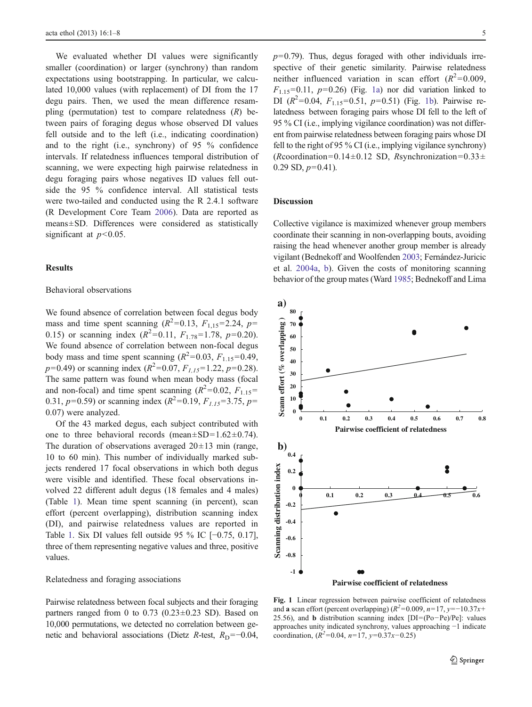We evaluated whether DI values were significantly smaller (coordination) or larger (synchrony) than random expectations using bootstrapping. In particular, we calculated 10,000 values (with replacement) of DI from the 17 degu pairs. Then, we used the mean difference resampling (permutation) test to compare relatedness  $(R)$  between pairs of foraging degus whose observed DI values fell outside and to the left (i.e., indicating coordination) and to the right (i.e., synchrony) of 95 % confidence intervals. If relatedness influences temporal distribution of scanning, we were expecting high pairwise relatedness in degu foraging pairs whose negatives ID values fell outside the 95 % confidence interval. All statistical tests were two-tailed and conducted using the R 2.4.1 software (R Development Core Team 2006). Data are reported as means±SD. Differences were considered as statistically significant at  $p<0.05$ .

# **Results**

# Behavioral observations

We found absence of correlation between focal degus body mass and time spent scanning  $(R^2=0.13, F_{1,15}=2.24, p=$ 0.15) or scanning index  $(R^2=0.11, F_{1.78}=1.78, p=0.20)$ . We found absence of correlation between non-focal degus body mass and time spent scanning  $(R^2=0.03, F_{1.15}=0.49,$  $p=0.49$ ) or scanning index ( $R^2=0.07$ ,  $F_{1,15}=1.22$ ,  $p=0.28$ ). The same pattern was found when mean body mass (focal and non-focal) and time spent scanning  $(R^2=0.02, F_{1.15}=$ 0.31,  $p=0.59$ ) or scanning index  $(R^2=0.19, F<sub>1.15</sub>=3.75, p=$ 0.07) were analyzed.

Of the 43 marked degus, each subject contributed with one to three behavioral records (mean $\pm$ SD=1.62 $\pm$ 0.74). The duration of observations averaged  $20 \pm 13$  min (range, 10 to 60 min). This number of individually marked subjects rendered 17 focal observations in which both degus were visible and identified. These focal observations involved 22 different adult degus (18 females and 4 males) (Table 1). Mean time spent scanning (in percent), scan effort (percent overlapping), distribution scanning index (DI), and pairwise relatedness values are reported in Table 1. Six DI values fell outside 95 % IC [−0.75, 0.17], three of them representing negative values and three, positive values.

## Relatedness and foraging associations

Pairwise relatedness between focal subjects and their foraging partners ranged from 0 to  $0.73$  ( $0.23\pm0.23$  SD). Based on 10,000 permutations, we detected no correlation between genetic and behavioral associations (Dietz R-test,  $R_D = -0.04$ ,

 $p=0.79$ ). Thus, degus foraged with other individuals irrespective of their genetic similarity. Pairwise relatedness neither influenced variation in scan effort  $(R^2=0.009,$  $F_{1.15}=0.11$ ,  $p=0.26$ ) (Fig. 1a) nor did variation linked to DI  $(R^2=0.04, F_{1.15}=0.51, p=0.51)$  (Fig. 1b). Pairwise relatedness between foraging pairs whose DI fell to the left of 95 % CI (i.e., implying vigilance coordination) was not different from pairwise relatedness between foraging pairs whose DI fell to the right of 95 % CI (i.e., implying vigilance synchrony) (Rcoordination=0.14±0.12 SD, Rsynchronization=0.33±  $0.29$  SD,  $p=0.41$ ).

# Discussion

Collective vigilance is maximized whenever group members coordinate their scanning in non-overlapping bouts, avoiding raising the head whenever another group member is already vigilant (Bednekoff and Woolfenden 2003; Fernández-Juricic et al. 2004a, b). Given the costs of monitoring scanning behavior of the group mates (Ward 1985; Bednekoff and Lima



Fig. 1 Linear regression between pairwise coefficient of relatedness and a scan effort (percent overlapping)  $(R^2=0.009, n=17, y=-10.37x+$ 25.56), and **b** distribution scanning index [DI=(Po-Pe)/Pe]: values approaches unity indicated synchrony, values approaching −1 indicate coordination,  $(R^2=0.04, n=17, y=0.37x-0.25)$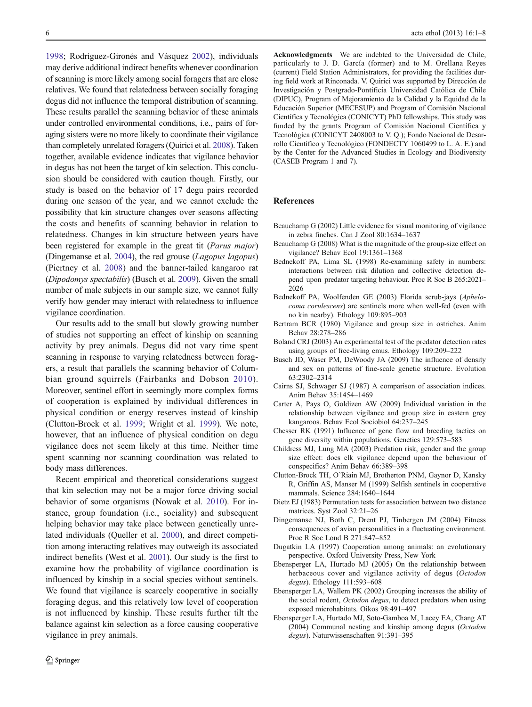1998; Rodríguez-Gironés and Vásquez 2002), individuals may derive additional indirect benefits whenever coordination of scanning is more likely among social foragers that are close relatives. We found that relatedness between socially foraging degus did not influence the temporal distribution of scanning. These results parallel the scanning behavior of these animals under controlled environmental conditions, i.e., pairs of foraging sisters were no more likely to coordinate their vigilance than completely unrelated foragers (Quirici et al. 2008). Taken together, available evidence indicates that vigilance behavior in degus has not been the target of kin selection. This conclusion should be considered with caution though. Firstly, our study is based on the behavior of 17 degu pairs recorded during one season of the year, and we cannot exclude the possibility that kin structure changes over seasons affecting the costs and benefits of scanning behavior in relation to relatedness. Changes in kin structure between years have been registered for example in the great tit (Parus major) (Dingemanse et al. 2004), the red grouse (Lagopus lagopus) (Piertney et al. 2008) and the banner-tailed kangaroo rat (Dipodomys spectabilis) (Busch et al. 2009). Given the small number of male subjects in our sample size, we cannot fully verify how gender may interact with relatedness to influence vigilance coordination.

Our results add to the small but slowly growing number of studies not supporting an effect of kinship on scanning activity by prey animals. Degus did not vary time spent scanning in response to varying relatedness between foragers, a result that parallels the scanning behavior of Columbian ground squirrels (Fairbanks and Dobson 2010). Moreover, sentinel effort in seemingly more complex forms of cooperation is explained by individual differences in physical condition or energy reserves instead of kinship (Clutton-Brock et al. 1999; Wright et al. 1999). We note, however, that an influence of physical condition on degu vigilance does not seem likely at this time. Neither time spent scanning nor scanning coordination was related to body mass differences.

Recent empirical and theoretical considerations suggest that kin selection may not be a major force driving social behavior of some organisms (Nowak et al. 2010). For instance, group foundation (i.e., sociality) and subsequent helping behavior may take place between genetically unrelated individuals (Queller et al. 2000), and direct competition among interacting relatives may outweigh its associated indirect benefits (West et al. 2001). Our study is the first to examine how the probability of vigilance coordination is influenced by kinship in a social species without sentinels. We found that vigilance is scarcely cooperative in socially foraging degus, and this relatively low level of cooperation is not influenced by kinship. These results further tilt the balance against kin selection as a force causing cooperative vigilance in prey animals.

Acknowledgments We are indebted to the Universidad de Chile, particularly to J. D. García (former) and to M. Orellana Reyes (current) Field Station Administrators, for providing the facilities during field work at Rinconada. V. Quirici was supported by Dirección de Investigación y Postgrado-Pontificia Universidad Católica de Chile (DIPUC), Program of Mejoramiento de la Calidad y la Equidad de la Educación Superior (MECESUP) and Program of Comisión Nacional Científica y Tecnológica (CONICYT) PhD fellowships. This study was funded by the grants Program of Comisión Nacional Científica y Tecnológica (CONICYT 2408003 to V. Q.); Fondo Nacional de Desarrollo Científico y Tecnológico (FONDECTY 1060499 to L. A. E.) and by the Center for the Advanced Studies in Ecology and Biodiversity (CASEB Program 1 and 7).

#### References

- Beauchamp G (2002) Little evidence for visual monitoring of vigilance in zebra finches. Can J Zool 80:1634–1637
- Beauchamp G (2008) What is the magnitude of the group-size effect on vigilance? Behav Ecol 19:1361–1368
- Bednekoff PA, Lima SL (1998) Re-examining safety in numbers: interactions between risk dilution and collective detection depend upon predator targeting behaviour. Proc R Soc B 265:2021– 2026
- Bednekoff PA, Woolfenden GE (2003) Florida scrub-jays (Aphelocoma corulescens) are sentinels more when well-fed (even with no kin nearby). Ethology 109:895–903
- Bertram BCR (1980) Vigilance and group size in ostriches. Anim Behav 28:278–286
- Boland CRJ (2003) An experimental test of the predator detection rates using groups of free-living emus. Ethology 109:209–222
- Busch JD, Waser PM, DeWoody JA (2009) The influence of density and sex on patterns of fine-scale genetic structure. Evolution 63:2302–2314
- Cairns SJ, Schwager SJ (1987) A comparison of association indices. Anim Behav 35:1454–1469
- Carter A, Pays O, Goldizen AW (2009) Individual variation in the relationship between vigilance and group size in eastern grey kangaroos. Behav Ecol Sociobiol 64:237–245
- Chesser RK (1991) Influence of gene flow and breeding tactics on gene diversity within populations. Genetics 129:573–583
- Childress MJ, Lung MA (2003) Predation risk, gender and the group size effect: does elk vigilance depend upon the behaviour of conspecifics? Anim Behav 66:389–398
- Clutton-Brock TH, O'Riain MJ, Brotherton PNM, Gaynor D, Kansky R, Griffin AS, Manser M (1999) Selfish sentinels in cooperative mammals. Science 284:1640–1644
- Dietz EJ (1983) Permutation tests for association between two distance matrices. Syst Zool 32:21–26
- Dingemanse NJ, Both C, Drent PJ, Tinbergen JM (2004) Fitness consequences of avian personalities in a fluctuating environment. Proc R Soc Lond B 271:847–852
- Dugatkin LA (1997) Cooperation among animals: an evolutionary perspective. Oxford University Press, New York
- Ebensperger LA, Hurtado MJ (2005) On the relationship between herbaceous cover and vigilance activity of degus (Octodon degus). Ethology 111:593–608
- Ebensperger LA, Wallem PK (2002) Grouping increases the ability of the social rodent, Octodon degus, to detect predators when using exposed microhabitats. Oikos 98:491–497
- Ebensperger LA, Hurtado MJ, Soto-Gamboa M, Lacey EA, Chang AT (2004) Communal nesting and kinship among degus (Octodon degus). Naturwissenschaften 91:391–395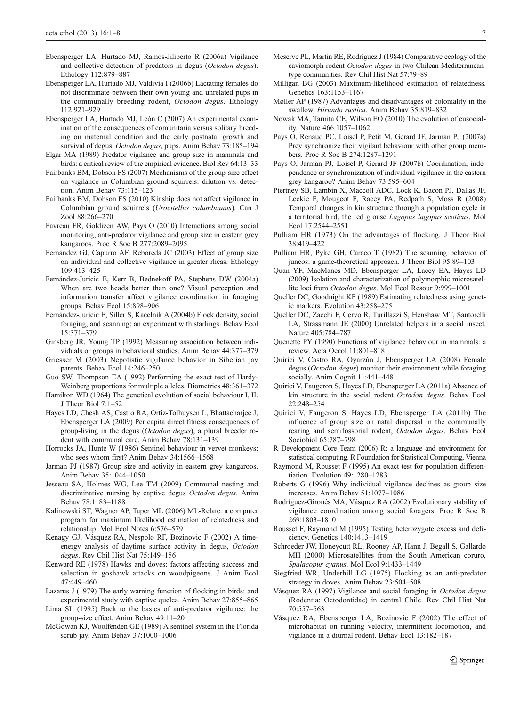- Ebensperger LA, Hurtado MJ, Ramos-Jiliberto R (2006a) Vigilance and collective detection of predators in degus (Octodon degus). Ethology 112:879–887
- Ebensperger LA, Hurtado MJ, Valdivia I (2006b) Lactating females do not discriminate between their own young and unrelated pups in the communally breeding rodent, Octodon degus. Ethology 112:921–929
- Ebensperger LA, Hurtado MJ, León C (2007) An experimental examination of the consequences of comunitaria versus solitary breeding on maternal condition and the early postnatal growth and survival of degus, Octodon degus, pups. Anim Behav 73:185–194
- Elgar MA (1989) Predator vigilance and group size in mammals and birds: a critical review of the empirical evidence. Biol Rev 64:13–33
- Fairbanks BM, Dobson FS (2007) Mechanisms of the group-size effect on vigilance in Columbian ground squirrels: dilution vs. detection. Anim Behav 73:115–123
- Fairbanks BM, Dobson FS (2010) Kinship does not affect vigilance in Columbian ground squirrels (Urocitellus columbianus). Can J Zool 88:266–270
- Favreau FR, Goldizen AW, Pays O (2010) Interactions among social monitoring, anti-predator vigilance and group size in eastern grey kangaroos. Proc R Soc B 277:2089–2095
- Fernández GJ, Capurro AF, Reboreda JC (2003) Effect of group size on individual and collective vigilance in greater rheas. Ethology 109:413–425
- Fernández-Juricic E, Kerr B, Bednekoff PA, Stephens DW (2004a) When are two heads better than one? Visual perception and information transfer affect vigilance coordination in foraging groups. Behav Ecol 15:898–906
- Fernández-Juricic E, Siller S, Kacelnik A (2004b) Flock density, social foraging, and scanning: an experiment with starlings. Behav Ecol 15:371–379
- Ginsberg JR, Young TP (1992) Measuring association between individuals or groups in behavioral studies. Anim Behav 44:377–379
- Griesser M (2003) Nepotistic vigilance behavior in Siberian jay parents. Behav Ecol 14:246–250
- Guo SW, Thompson EA (1992) Performing the exact test of Hardy-Weinberg proportions for multiple alleles. Biometrics 48:361–372
- Hamilton WD (1964) The genetical evolution of social behaviour I, II. J Theor Biol 7:1–52
- Hayes LD, Chesh AS, Castro RA, Ortiz-Tolhuysen L, Bhattacharjee J, Ebensperger LA (2009) Per capita direct fitness consequences of group-living in the degus (Octodon degus), a plural breeder rodent with communal care. Anim Behav 78:131–139
- Horrocks JA, Hunte W (1986) Sentinel behaviour in vervet monkeys: who sees whom first? Anim Behav 34:1566–1568
- Jarman PJ (1987) Group size and activity in eastern grey kangaroos. Anim Behav 35:1044–1050
- Jesseau SA, Holmes WG, Lee TM (2009) Communal nesting and discriminative nursing by captive degus Octodon degus. Anim Behav 78:1183–1188
- Kalinowski ST, Wagner AP, Taper ML (2006) ML-Relate: a computer program for maximum likelihood estimation of relatedness and relationship. Mol Ecol Notes 6:576–579
- Kenagy GJ, Vásquez RA, Nespolo RF, Bozinovic F (2002) A timeenergy analysis of daytime surface activity in degus, Octodon degus. Rev Chil Hist Nat 75:149–156
- Kenward RE (1978) Hawks and doves: factors affecting success and selection in goshawk attacks on woodpigeons. J Anim Ecol 47:449–460
- Lazarus J (1979) The early warning function of flocking in birds: and experimental study with captive quelea. Anim Behav 27:855–865
- Lima SL (1995) Back to the basics of anti-predator vigilance: the group-size effect. Anim Behav 49:11–20
- McGowan KJ, Woolfenden GE (1989) A sentinel system in the Florida scrub jay. Anim Behav 37:1000–1006
- Meserve PL, Martin RE, Rodríguez J (1984) Comparative ecology of the caviomorph rodent Octodon degus in two Chilean Mediterraneantype communities. Rev Chil Hist Nat 57:79–89
- Milligan BG (2003) Maximum-likelihood estimation of relatedness. Genetics 163:1153–1167
- Møller AP (1987) Advantages and disadvantages of coloniality in the swallow, Hirundo rustica. Anim Behav 35:819–832
- Nowak MA, Tarnita CE, Wilson EO (2010) The evolution of eusociality. Nature 466:1057–1062
- Pays O, Renaud PC, Loisel P, Petit M, Gerard JF, Jarman PJ (2007a) Prey synchronize their vigilant behaviour with other group members. Proc R Soc B 274:1287–1291
- Pays O, Jarman PJ, Loisel P, Gerard JF (2007b) Coordination, independence or synchronization of individual vigilance in the eastern grey kangaroo? Anim Behav 73:595–604
- Piertney SB, Lambin X, Maccoll ADC, Lock K, Bacon PJ, Dallas JF, Leckie F, Mougeot F, Racey PA, Redpath S, Moss R (2008) Temporal changes in kin structure through a population cycle in a territorial bird, the red grouse Lagopus lagopus scoticus. Mol Ecol 17:2544–2551
- Pulliam HR (1973) On the advantages of flocking. J Theor Biol 38:419–422
- Pulliam HR, Pyke GH, Caraco T (1982) The scanning behavior of juncos: a game-theoretical approach. J Theor Biol 95:89–103
- Quan YF, MacManes MD, Ebensperger LA, Lacey EA, Hayes LD (2009) Isolation and characterization of polymorphic microsatellite loci from Octodon degus. Mol Ecol Resour 9:999–1001
- Queller DC, Goodnight KF (1989) Estimating relatedness using genetic markers. Evolution 43:258–275
- Queller DC, Zacchi F, Cervo R, Turillazzi S, Henshaw MT, Santorelli LA, Strassmann JE (2000) Unrelated helpers in a social insect. Nature 405:784–787
- Quenette PY (1990) Functions of vigilance behaviour in mammals: a review. Acta Oecol 11:801–818
- Quirici V, Castro RA, Oyarzún J, Ebensperger LA (2008) Female degus (Octodon degus) monitor their environment while foraging socially. Anim Cognit 11:441–448
- Quirici V, Faugeron S, Hayes LD, Ebensperger LA (2011a) Absence of kin structure in the social rodent Octodon degus. Behav Ecol 22:248–254
- Quirici V, Faugeron S, Hayes LD, Ebensperger LA (2011b) The influence of group size on natal dispersal in the communally rearing and semifossorial rodent, Octodon degus. Behav Ecol Sociobiol 65:787–798
- R Development Core Team (2006) R: a language and environment for statistical computing. R Foundation for Statistical Computing, Vienna
- Raymond M, Rousset F (1995) An exact test for population differentiation. Evolution 49:1280–1283
- Roberts G (1996) Why individual vigilance declines as group size increases. Anim Behav 51:1077–1086
- Rodríguez-Gironés MA, Vásquez RA (2002) Evolutionary stability of vigilance coordination among social foragers. Proc R Soc B 269:1803–1810
- Rousset F, Raymond M (1995) Testing heterozygote excess and deficiency. Genetics 140:1413–1419
- Schroeder JW, Honeycutt RL, Rooney AP, Hann J, Begall S, Gallardo MH (2000) Microsatellites from the South American coruro, Spalacopus cyanus. Mol Ecol 9:1433–1449
- Siegfried WR, Underhill LG (1975) Flocking as an anti-predator strategy in doves. Anim Behav 23:504–508
- Vásquez RA (1997) Vigilance and social foraging in Octodon degus (Rodentia: Octodontidae) in central Chile. Rev Chil Hist Nat 70:557–563
- Vásquez RA, Ebensperger LA, Bozinovic F (2002) The effect of microhabitat on running velocity, intermittent locomotion, and vigilance in a diurnal rodent. Behav Ecol 13:182–187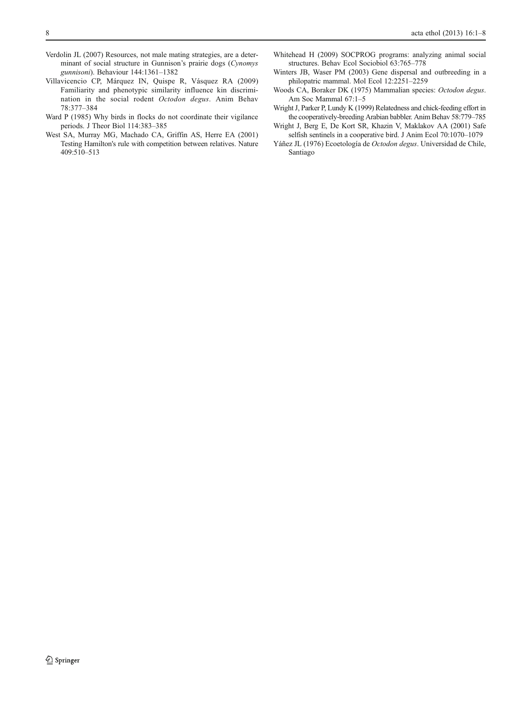- Verdolin JL (2007) Resources, not male mating strategies, are a determinant of social structure in Gunnison's prairie dogs (Cynomys gunnisoni). Behaviour 144:1361–1382
- Villavicencio CP, Márquez IN, Quispe R, Vásquez RA (2009) Familiarity and phenotypic similarity influence kin discrimination in the social rodent Octodon degus. Anim Behav 78:377–384
- Ward P (1985) Why birds in flocks do not coordinate their vigilance periods. J Theor Biol 114:383–385
- West SA, Murray MG, Machado CA, Griffin AS, Herre EA (2001) Testing Hamilton's rule with competition between relatives. Nature 409:510–513
- Whitehead H (2009) SOCPROG programs: analyzing animal social structures. Behav Ecol Sociobiol 63:765–778
- Winters JB, Waser PM (2003) Gene dispersal and outbreeding in a philopatric mammal. Mol Ecol 12:2251–2259
- Woods CA, Boraker DK (1975) Mammalian species: Octodon degus. Am Soc Mammal 67:1–5
- Wright J, Parker P, Lundy K (1999) Relatedness and chick-feeding effort in the cooperatively-breeding Arabian babbler. Anim Behav 58:779–785
- Wright J, Berg E, De Kort SR, Khazin V, Maklakov AA (2001) Safe selfish sentinels in a cooperative bird. J Anim Ecol 70:1070–1079
- Yáñez JL (1976) Ecoetología de Octodon degus. Universidad de Chile, Santiago